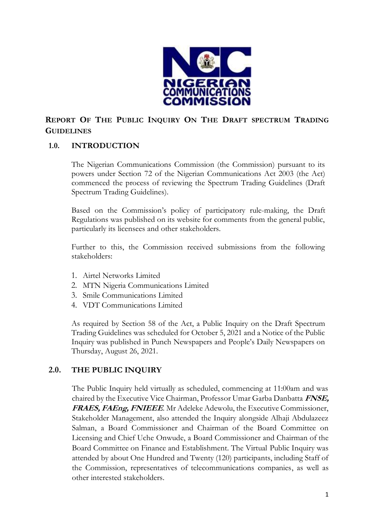

# **REPORT OF THE PUBLIC INQUIRY ON THE DRAFT SPECTRUM TRADING GUIDELINES**

## **1.0. INTRODUCTION**

The Nigerian Communications Commission (the Commission) pursuant to its powers under Section 72 of the Nigerian Communications Act 2003 (the Act) commenced the process of reviewing the Spectrum Trading Guidelines (Draft Spectrum Trading Guidelines).

Based on the Commission's policy of participatory rule-making, the Draft Regulations was published on its website for comments from the general public, particularly its licensees and other stakeholders.

Further to this, the Commission received submissions from the following stakeholders:

- 1. Airtel Networks Limited
- 2. MTN Nigeria Communications Limited
- 3. Smile Communications Limited
- 4. VDT Communications Limited

As required by Section 58 of the Act, a Public Inquiry on the Draft Spectrum Trading Guidelines was scheduled for October 5, 2021 and a Notice of the Public Inquiry was published in Punch Newspapers and People's Daily Newspapers on Thursday, August 26, 2021.

# **2.0. THE PUBLIC INQUIRY**

The Public Inquiry held virtually as scheduled, commencing at 11:00am and was chaired by the Executive Vice Chairman, Professor Umar Garba Danbatta **FNSE, FRAES, FAEng, FNIEEE**. Mr Adeleke Adewolu, the Executive Commissioner, Stakeholder Management, also attended the Inquiry alongside Alhaji Abdulazeez Salman, a Board Commissioner and Chairman of the Board Committee on Licensing and Chief Uche Onwude, a Board Commissioner and Chairman of the Board Committee on Finance and Establishment. The Virtual Public Inquiry was attended by about One Hundred and Twenty (120) participants, including Staff of the Commission, representatives of telecommunications companies, as well as other interested stakeholders.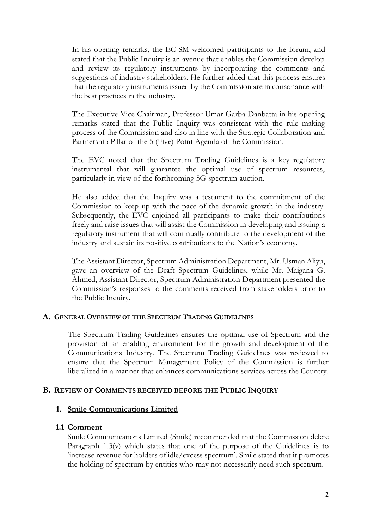In his opening remarks, the EC-SM welcomed participants to the forum, and stated that the Public Inquiry is an avenue that enables the Commission develop and review its regulatory instruments by incorporating the comments and suggestions of industry stakeholders. He further added that this process ensures that the regulatory instruments issued by the Commission are in consonance with the best practices in the industry.

The Executive Vice Chairman, Professor Umar Garba Danbatta in his opening remarks stated that the Public Inquiry was consistent with the rule making process of the Commission and also in line with the Strategic Collaboration and Partnership Pillar of the 5 (Five) Point Agenda of the Commission.

The EVC noted that the Spectrum Trading Guidelines is a key regulatory instrumental that will guarantee the optimal use of spectrum resources, particularly in view of the forthcoming 5G spectrum auction.

He also added that the Inquiry was a testament to the commitment of the Commission to keep up with the pace of the dynamic growth in the industry. Subsequently, the EVC enjoined all participants to make their contributions freely and raise issues that will assist the Commission in developing and issuing a regulatory instrument that will continually contribute to the development of the industry and sustain its positive contributions to the Nation's economy.

The Assistant Director, Spectrum Administration Department, Mr. Usman Aliyu, gave an overview of the Draft Spectrum Guidelines, while Mr. Maigana G. Ahmed, Assistant Director, Spectrum Administration Department presented the Commission's responses to the comments received from stakeholders prior to the Public Inquiry.

#### **A. GENERAL OVERVIEW OF THE SPECTRUM TRADING GUIDELINES**

The Spectrum Trading Guidelines ensures the optimal use of Spectrum and the provision of an enabling environment for the growth and development of the Communications Industry. The Spectrum Trading Guidelines was reviewed to ensure that the Spectrum Management Policy of the Commission is further liberalized in a manner that enhances communications services across the Country.

#### **B. REVIEW OF COMMENTS RECEIVED BEFORE THE PUBLIC INQUIRY**

## **1. Smile Communications Limited**

#### **1.1 Comment**

Smile Communications Limited (Smile) recommended that the Commission delete Paragraph 1.3(v) which states that one of the purpose of the Guidelines is to 'increase revenue for holders of idle/excess spectrum'. Smile stated that it promotes the holding of spectrum by entities who may not necessarily need such spectrum.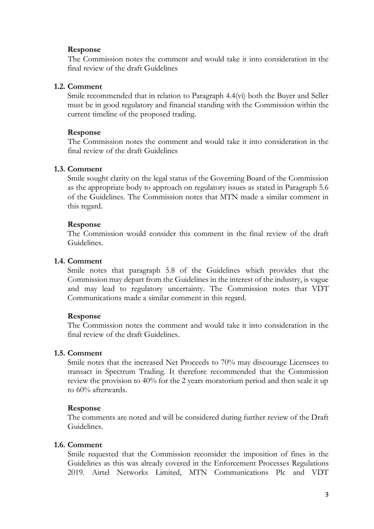#### **Response**

The Commission notes the comment and would take it into consideration in the final review of the draft Guidelines

#### **1.2. Comment**

Smile recommended that in relation to Paragraph 4.4(vi) both the Buyer and Seller must be in good regulatory and financial standing with the Commission within the current timeline of the proposed trading.

#### **Response**

The Commission notes the comment and would take it into consideration in the final review of the draft Guidelines

#### **1.3. Comment**

Smile sought clarity on the legal status of the Governing Board of the Commission as the appropriate body to approach on regulatory issues as stated in Paragraph 5.6 of the Guidelines. The Commission notes that MTN made a similar comment in this regard.

#### **Response**

The Commission would consider this comment in the final review of the draft Guidelines.

#### **1.4. Comment**

Smile notes that paragraph 5.8 of the Guidelines which provides that the Commission may depart from the Guidelines in the interest of the industry, is vague and may lead to regulatory uncertainty. The Commission notes that VDT Communications made a similar comment in this regard.

## **Response**

The Commission notes the comment and would take it into consideration in the final review of the draft Guidelines.

#### **1.5. Comment**

Smile notes that the increased Net Proceeds to 70% may discourage Licensees to transact in Spectrum Trading. It therefore recommended that the Commission review the provision to 40% for the 2 years moratorium period and then scale it up to 60% afterwards.

#### **Response**

The comments are noted and will be considered during further review of the Draft Guidelines.

#### **1.6. Comment**

Smile requested that the Commission reconsider the imposition of fines in the Guidelines as this was already covered in the Enforcement Processes Regulations 2019. Airtel Networks Limited, MTN Communications Plc and VDT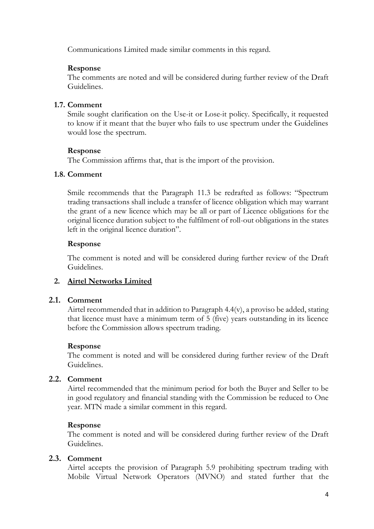Communications Limited made similar comments in this regard.

## **Response**

The comments are noted and will be considered during further review of the Draft Guidelines.

## **1.7. Comment**

Smile sought clarification on the Use-it or Lose-it policy. Specifically, it requested to know if it meant that the buyer who fails to use spectrum under the Guidelines would lose the spectrum.

## **Response**

The Commission affirms that, that is the import of the provision.

## **1.8. Comment**

Smile recommends that the Paragraph 11.3 be redrafted as follows: "Spectrum trading transactions shall include a transfer of licence obligation which may warrant the grant of a new licence which may be all or part of Licence obligations for the original licence duration subject to the fulfilment of roll-out obligations in the states left in the original licence duration".

## **Response**

The comment is noted and will be considered during further review of the Draft Guidelines.

# **2. Airtel Networks Limited**

# **2.1. Comment**

Airtel recommended that in addition to Paragraph 4.4(v), a proviso be added, stating that licence must have a minimum term of 5 (five) years outstanding in its licence before the Commission allows spectrum trading.

# **Response**

The comment is noted and will be considered during further review of the Draft Guidelines.

# **2.2. Comment**

Airtel recommended that the minimum period for both the Buyer and Seller to be in good regulatory and financial standing with the Commission be reduced to One year. MTN made a similar comment in this regard.

# **Response**

The comment is noted and will be considered during further review of the Draft Guidelines.

# **2.3. Comment**

Airtel accepts the provision of Paragraph 5.9 prohibiting spectrum trading with Mobile Virtual Network Operators (MVNO) and stated further that the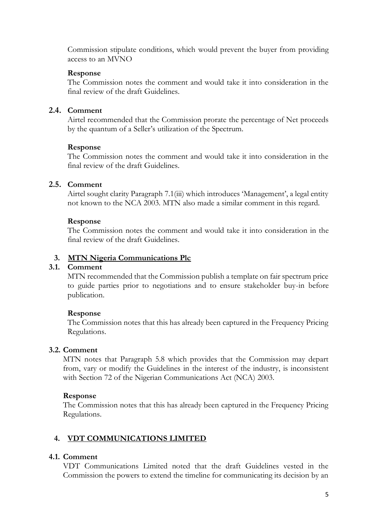Commission stipulate conditions, which would prevent the buyer from providing access to an MVNO

#### **Response**

The Commission notes the comment and would take it into consideration in the final review of the draft Guidelines.

## **2.4. Comment**

Airtel recommended that the Commission prorate the percentage of Net proceeds by the quantum of a Seller's utilization of the Spectrum.

#### **Response**

The Commission notes the comment and would take it into consideration in the final review of the draft Guidelines.

## **2.5. Comment**

Airtel sought clarity Paragraph 7.1(iii) which introduces 'Management', a legal entity not known to the NCA 2003. MTN also made a similar comment in this regard.

#### **Response**

The Commission notes the comment and would take it into consideration in the final review of the draft Guidelines.

## **3. MTN Nigeria Communications Plc**

#### **3.1. Comment**

MTN recommended that the Commission publish a template on fair spectrum price to guide parties prior to negotiations and to ensure stakeholder buy-in before publication.

## **Response**

The Commission notes that this has already been captured in the Frequency Pricing Regulations.

## **3.2. Comment**

MTN notes that Paragraph 5.8 which provides that the Commission may depart from, vary or modify the Guidelines in the interest of the industry, is inconsistent with Section 72 of the Nigerian Communications Act (NCA) 2003.

## **Response**

The Commission notes that this has already been captured in the Frequency Pricing Regulations.

# **4. VDT COMMUNICATIONS LIMITED**

#### **4.1. Comment**

VDT Communications Limited noted that the draft Guidelines vested in the Commission the powers to extend the timeline for communicating its decision by an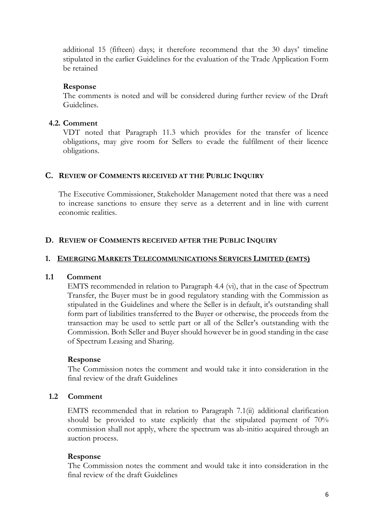additional 15 (fifteen) days; it therefore recommend that the 30 days' timeline stipulated in the earlier Guidelines for the evaluation of the Trade Application Form be retained

## **Response**

The comments is noted and will be considered during further review of the Draft Guidelines.

#### **4.2. Comment**

VDT noted that Paragraph 11.3 which provides for the transfer of licence obligations, may give room for Sellers to evade the fulfilment of their licence obligations.

#### **C. REVIEW OF COMMENTS RECEIVED AT THE PUBLIC INQUIRY**

The Executive Commissioner, Stakeholder Management noted that there was a need to increase sanctions to ensure they serve as a deterrent and in line with current economic realities.

#### **D. REVIEW OF COMMENTS RECEIVED AFTER THE PUBLIC INQUIRY**

#### **1. EMERGING MARKETS TELECOMMUNICATIONS SERVICES LIMITED (EMTS)**

#### **1.1 Comment**

EMTS recommended in relation to Paragraph 4.4 (vi), that in the case of Spectrum Transfer, the Buyer must be in good regulatory standing with the Commission as stipulated in the Guidelines and where the Seller is in default, it's outstanding shall form part of liabilities transferred to the Buyer or otherwise, the proceeds from the transaction may be used to settle part or all of the Seller's outstanding with the Commission. Both Seller and Buyer should however be in good standing in the case of Spectrum Leasing and Sharing.

#### **Response**

The Commission notes the comment and would take it into consideration in the final review of the draft Guidelines

## **1.2 Comment**

EMTS recommended that in relation to Paragraph 7.1(ii) additional clarification should be provided to state explicitly that the stipulated payment of 70% commission shall not apply, where the spectrum was ab-initio acquired through an auction process.

#### **Response**

The Commission notes the comment and would take it into consideration in the final review of the draft Guidelines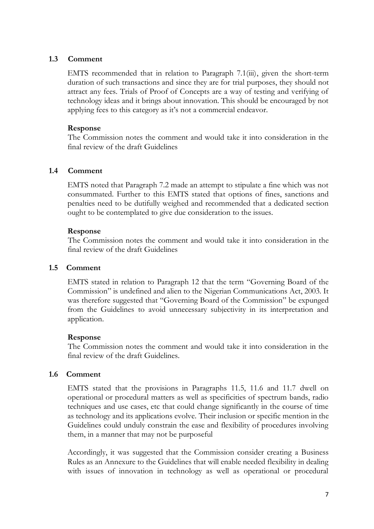## **1.3 Comment**

EMTS recommended that in relation to Paragraph 7.1(iii), given the short-term duration of such transactions and since they are for trial purposes, they should not attract any fees. Trials of Proof of Concepts are a way of testing and verifying of technology ideas and it brings about innovation. This should be encouraged by not applying fees to this category as it's not a commercial endeavor.

## **Response**

The Commission notes the comment and would take it into consideration in the final review of the draft Guidelines

## **1.4 Comment**

EMTS noted that Paragraph 7.2 made an attempt to stipulate a fine which was not consummated. Further to this EMTS stated that options of fines, sanctions and penalties need to be dutifully weighed and recommended that a dedicated section ought to be contemplated to give due consideration to the issues.

## **Response**

The Commission notes the comment and would take it into consideration in the final review of the draft Guidelines

## **1.5 Comment**

EMTS stated in relation to Paragraph 12 that the term "Governing Board of the Commission" is undefined and alien to the Nigerian Communications Act, 2003. It was therefore suggested that "Governing Board of the Commission" be expunged from the Guidelines to avoid unnecessary subjectivity in its interpretation and application.

## **Response**

The Commission notes the comment and would take it into consideration in the final review of the draft Guidelines.

# **1.6 Comment**

EMTS stated that the provisions in Paragraphs 11.5, 11.6 and 11.7 dwell on operational or procedural matters as well as specificities of spectrum bands, radio techniques and use cases, etc that could change significantly in the course of time as technology and its applications evolve. Their inclusion or specific mention in the Guidelines could unduly constrain the ease and flexibility of procedures involving them, in a manner that may not be purposeful

Accordingly, it was suggested that the Commission consider creating a Business Rules as an Annexure to the Guidelines that will enable needed flexibility in dealing with issues of innovation in technology as well as operational or procedural